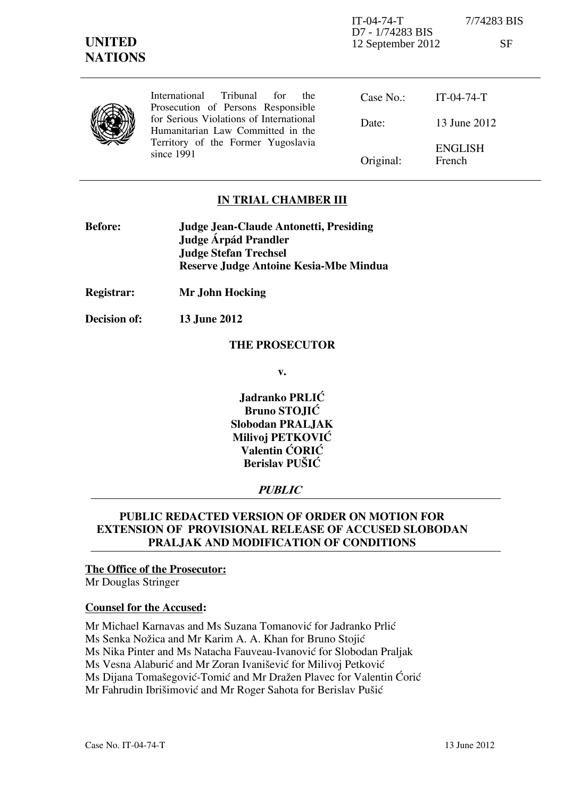IT-04-74-T 7/74283 BIS D7 - 1/74283 BIS 12 September 2012 SF

|  | International Tribunal<br>$\cdot$ for<br>the<br>Prosecution of Persons Responsible | Case $No.$ : | $IT-04-74-T$             |
|--|------------------------------------------------------------------------------------|--------------|--------------------------|
|  | for Serious Violations of International<br>Humanitarian Law Committed in the       | Date:        | 13 June 2012             |
|  | Territory of the Former Yugoslavia<br>since 1991                                   | Original:    | <b>ENGLISH</b><br>French |

# **IN TRIAL CHAMBER III**

| <b>Before:</b> | <b>Judge Jean-Claude Antonetti, Presiding</b> |  |
|----------------|-----------------------------------------------|--|
|                | Judge Árpád Prandler                          |  |
|                | <b>Judge Stefan Trechsel</b>                  |  |
|                | Reserve Judge Antoine Kesia-Mbe Mindua        |  |

**Registrar: Mr John Hocking** 

**Decision of: 13 June 2012** 

### **THE PROSECUTOR**

**v.** 

**Jadranko PRLIĆ Bruno STOJIĆ Slobodan PRALJAK Milivoj PETKOVIĆ Valentin CORIC Berislav PUŠIĆ** 

## **PUBLIC**

## **PUBLIC REDACTED VERSION OF ORDER ON MOTION FOR EXTENSION OF PROVISIONAL RELEASE OF ACCUSED SLOBODAN PRALJAK AND MODIFICATION OF CONDITIONS**

### **The Office of the Prosecutor:**

Mr Douglas Stringer

### **Counsel for the Accused:**

Mr Michael Karnavas and Ms Suzana Tomanović for Jadranko Prlić Ms Senka Nožica and Mr Karim A. A. Khan for Bruno Stojić Ms Nika Pinter and Ms Natacha Fauveau-Ivanović for Slobodan Praljak Ms Vesna Alaburić and Mr Zoran Ivanišević for Milivoj Petković Ms Dijana Tomašegović-Tomić and Mr Dražen Plavec for Valentin Ćorić Mr Fahrudin Ibrišimović and Mr Roger Sahota for Berislav Pušić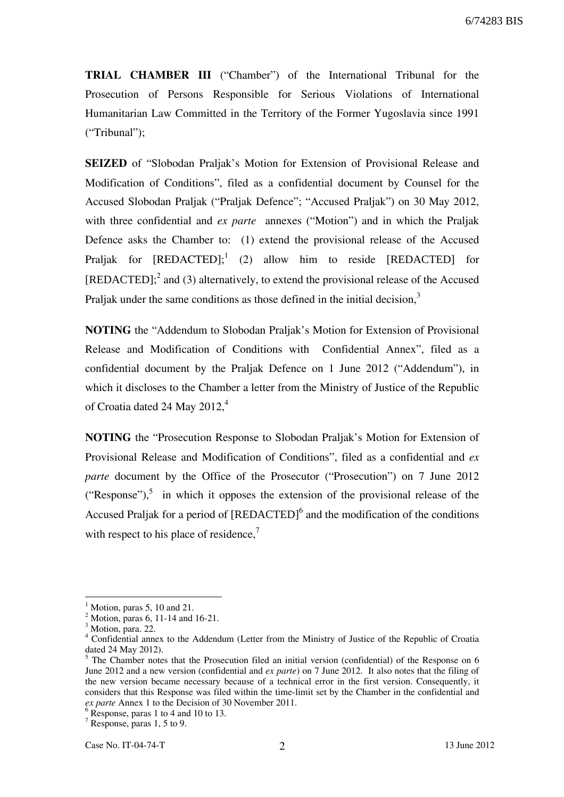**TRIAL CHAMBER III** ("Chamber") of the International Tribunal for the Prosecution of Persons Responsible for Serious Violations of International Humanitarian Law Committed in the Territory of the Former Yugoslavia since 1991 ("Tribunal");

**SEIZED** of "Slobodan Praljak's Motion for Extension of Provisional Release and Modification of Conditions", filed as a confidential document by Counsel for the Accused Slobodan Praljak ("Praljak Defence"; "Accused Praljak") on 30 May 2012, with three confidential and *ex parte* annexes ("Motion") and in which the Praljak Defence asks the Chamber to: (1) extend the provisional release of the Accused Praljak for [REDACTED];<sup>1</sup> (2) allow him to reside [REDACTED] for  $[REDACTED]$ ; and (3) alternatively, to extend the provisional release of the Accused Praljak under the same conditions as those defined in the initial decision,<sup>3</sup>

**NOTING** the "Addendum to Slobodan Praljak's Motion for Extension of Provisional Release and Modification of Conditions with Confidential Annex", filed as a confidential document by the Praljak Defence on 1 June 2012 ("Addendum"), in which it discloses to the Chamber a letter from the Ministry of Justice of the Republic of Croatia dated 24 May  $2012<sup>4</sup>$ 

**NOTING** the "Prosecution Response to Slobodan Praljak's Motion for Extension of Provisional Release and Modification of Conditions", filed as a confidential and *ex parte* document by the Office of the Prosecutor ("Prosecution") on 7 June 2012 ("Response"),<sup>5</sup> in which it opposes the extension of the provisional release of the Accused Praljak for a period of  $[REDACTED]$ <sup>6</sup> and the modification of the conditions with respect to his place of residence.<sup>7</sup>

 $<sup>1</sup>$  Motion, paras 5, 10 and 21.</sup>

<sup>2</sup> Motion, paras 6, 11-14 and 16-21.

<sup>&</sup>lt;sup>3</sup> Motion, para. 22.

<sup>&</sup>lt;sup>4</sup> Confidential annex to the Addendum (Letter from the Ministry of Justice of the Republic of Croatia dated 24 May 2012).

<sup>&</sup>lt;sup>5</sup> The Chamber notes that the Prosecution filed an initial version (confidential) of the Response on 6 June 2012 and a new version (confidential and *ex parte*) on 7 June 2012. It also notes that the filing of the new version became necessary because of a technical error in the first version. Consequently, it considers that this Response was filed within the time-limit set by the Chamber in the confidential and *ex parte* Annex 1 to the Decision of 30 November 2011.

<sup>&</sup>lt;sup>6</sup> Response, paras 1 to 4 and 10 to 13.

<sup>7</sup> Response, paras 1, 5 to 9.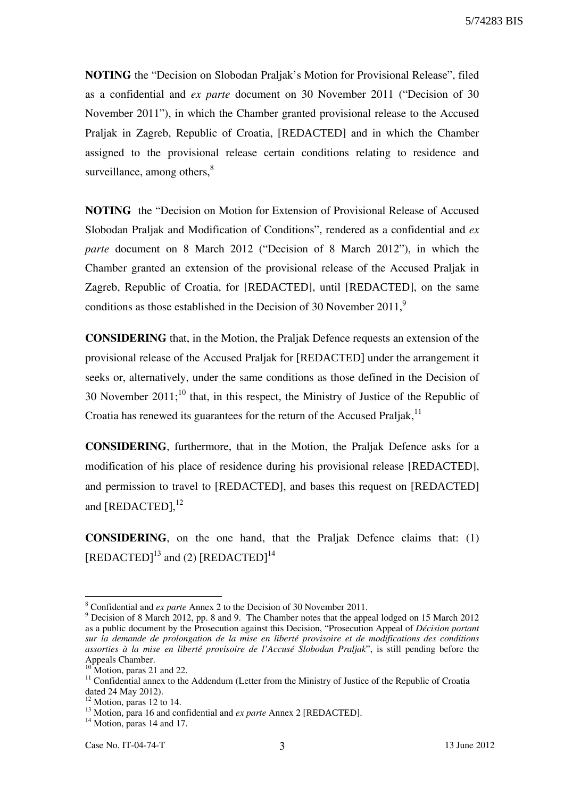**NOTING** the "Decision on Slobodan Praljak's Motion for Provisional Release", filed as a confidential and *ex parte* document on 30 November 2011 ("Decision of 30 November 2011"), in which the Chamber granted provisional release to the Accused Praljak in Zagreb, Republic of Croatia, [REDACTED] and in which the Chamber assigned to the provisional release certain conditions relating to residence and surveillance, among others, $8<sup>8</sup>$ 

**NOTING** the "Decision on Motion for Extension of Provisional Release of Accused Slobodan Praljak and Modification of Conditions", rendered as a confidential and *ex parte* document on 8 March 2012 ("Decision of 8 March 2012"), in which the Chamber granted an extension of the provisional release of the Accused Praljak in Zagreb, Republic of Croatia, for [REDACTED], until [REDACTED], on the same conditions as those established in the Decision of 30 November 2011.<sup>9</sup>

**CONSIDERING** that, in the Motion, the Praljak Defence requests an extension of the provisional release of the Accused Praljak for [REDACTED] under the arrangement it seeks or, alternatively, under the same conditions as those defined in the Decision of 30 November  $2011$ ;<sup>10</sup> that, in this respect, the Ministry of Justice of the Republic of Croatia has renewed its guarantees for the return of the Accused Praljak, $11$ 

**CONSIDERING**, furthermore, that in the Motion, the Praljak Defence asks for a modification of his place of residence during his provisional release [REDACTED], and permission to travel to [REDACTED], and bases this request on [REDACTED] and [REDACTED],<sup>12</sup>

**CONSIDERING**, on the one hand, that the Praljak Defence claims that: (1)  $[REDACTED]^{13}$  and (2)  $[REDACTED]^{14}$ 

<sup>8</sup> Confidential and *ex parte* Annex 2 to the Decision of 30 November 2011.

<sup>&</sup>lt;sup>9</sup> Decision of 8 March 2012, pp. 8 and 9. The Chamber notes that the appeal lodged on 15 March 2012 as a public document by the Prosecution against this Decision, "Prosecution Appeal of *Décision portant sur la demande de prolongation de la mise en liberté provisoire et de modifications des conditions assorties à la mise en liberté provisoire de l'Accusé Slobodan Praljak*", is still pending before the Appeals Chamber.

 $\overline{1}$  Motion, paras 21 and 22.

<sup>&</sup>lt;sup>11</sup> Confidential annex to the Addendum (Letter from the Ministry of Justice of the Republic of Croatia dated 24 May 2012).

Motion, paras 12 to 14.

<sup>&</sup>lt;sup>13</sup> Motion, para 16 and confidential and *ex parte* Annex 2 [REDACTED].

 $14$  Motion, paras 14 and 17.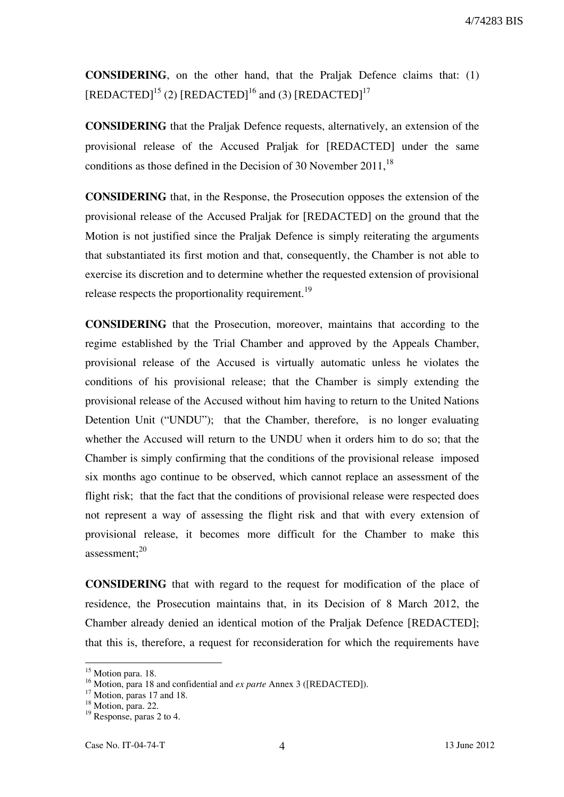4/74283 BIS

**CONSIDERING**, on the other hand, that the Praljak Defence claims that: (1)  $[REDACTED]^{15}$  (2)  $[REDACTED]^{16}$  and (3)  $[REDACTED]^{17}$ 

**CONSIDERING** that the Praljak Defence requests, alternatively, an extension of the provisional release of the Accused Praljak for [REDACTED] under the same conditions as those defined in the Decision of 30 November  $2011$ ,  $^{18}$ 

**CONSIDERING** that, in the Response, the Prosecution opposes the extension of the provisional release of the Accused Praljak for [REDACTED] on the ground that the Motion is not justified since the Praljak Defence is simply reiterating the arguments that substantiated its first motion and that, consequently, the Chamber is not able to exercise its discretion and to determine whether the requested extension of provisional release respects the proportionality requirement.<sup>19</sup>

**CONSIDERING** that the Prosecution, moreover, maintains that according to the regime established by the Trial Chamber and approved by the Appeals Chamber, provisional release of the Accused is virtually automatic unless he violates the conditions of his provisional release; that the Chamber is simply extending the provisional release of the Accused without him having to return to the United Nations Detention Unit ("UNDU"); that the Chamber, therefore, is no longer evaluating whether the Accused will return to the UNDU when it orders him to do so; that the Chamber is simply confirming that the conditions of the provisional release imposed six months ago continue to be observed, which cannot replace an assessment of the flight risk; that the fact that the conditions of provisional release were respected does not represent a way of assessing the flight risk and that with every extension of provisional release, it becomes more difficult for the Chamber to make this assessment:<sup>20</sup>

**CONSIDERING** that with regard to the request for modification of the place of residence, the Prosecution maintains that, in its Decision of 8 March 2012, the Chamber already denied an identical motion of the Praljak Defence [REDACTED]; that this is, therefore, a request for reconsideration for which the requirements have

<sup>&</sup>lt;sup>15</sup> Motion para. 18.

<sup>16</sup> Motion, para 18 and confidential and *ex parte* Annex 3 ([REDACTED]).

<sup>&</sup>lt;sup>17</sup> Motion, paras 17 and 18.

<sup>&</sup>lt;sup>18</sup> Motion, para. 22.

<sup>&</sup>lt;sup>19</sup> Response, paras 2 to 4.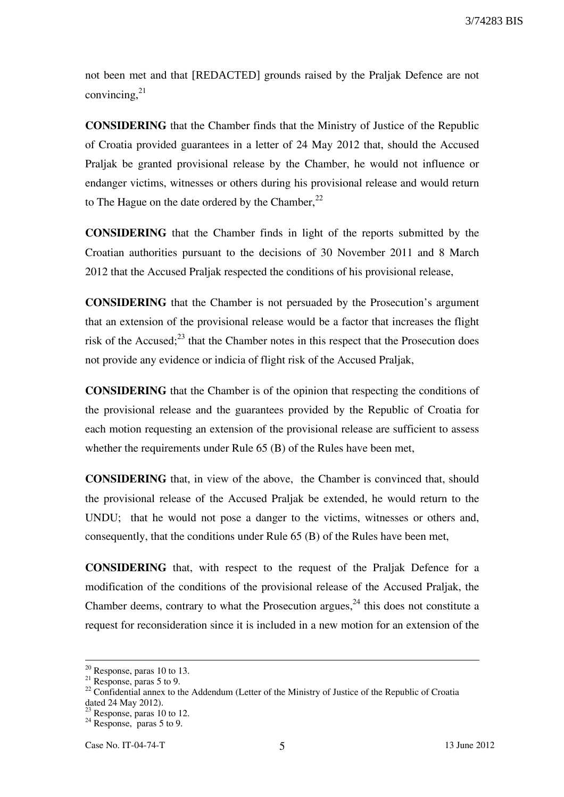not been met and that [REDACTED] grounds raised by the Praljak Defence are not convincing, $^{21}$ 

**CONSIDERING** that the Chamber finds that the Ministry of Justice of the Republic of Croatia provided guarantees in a letter of 24 May 2012 that, should the Accused Praljak be granted provisional release by the Chamber, he would not influence or endanger victims, witnesses or others during his provisional release and would return to The Hague on the date ordered by the Chamber,  $2^2$ 

**CONSIDERING** that the Chamber finds in light of the reports submitted by the Croatian authorities pursuant to the decisions of 30 November 2011 and 8 March 2012 that the Accused Praljak respected the conditions of his provisional release,

**CONSIDERING** that the Chamber is not persuaded by the Prosecution's argument that an extension of the provisional release would be a factor that increases the flight risk of the Accused; $^{23}$  that the Chamber notes in this respect that the Prosecution does not provide any evidence or indicia of flight risk of the Accused Praljak,

**CONSIDERING** that the Chamber is of the opinion that respecting the conditions of the provisional release and the guarantees provided by the Republic of Croatia for each motion requesting an extension of the provisional release are sufficient to assess whether the requirements under Rule 65 (B) of the Rules have been met,

**CONSIDERING** that, in view of the above, the Chamber is convinced that, should the provisional release of the Accused Praljak be extended, he would return to the UNDU; that he would not pose a danger to the victims, witnesses or others and, consequently, that the conditions under Rule  $(65 \text{ (B)})$  of the Rules have been met.

**CONSIDERING** that, with respect to the request of the Praljak Defence for a modification of the conditions of the provisional release of the Accused Praljak, the Chamber deems, contrary to what the Prosecution argues,  $2<sup>4</sup>$  this does not constitute a request for reconsideration since it is included in a new motion for an extension of the

1

<sup>20</sup> Response, paras 10 to 13.

 $21$  Response, paras 5 to 9.

<sup>&</sup>lt;sup>22</sup> Confidential annex to the Addendum (Letter of the Ministry of Justice of the Republic of Croatia dated 24 May 2012).

 $23$  Response, paras 10 to 12.

 $24$  Response, paras 5 to 9.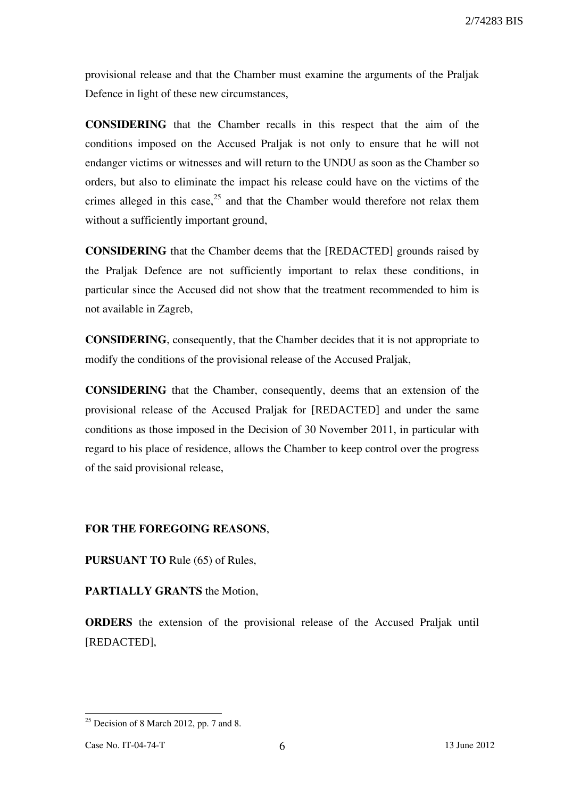provisional release and that the Chamber must examine the arguments of the Praljak Defence in light of these new circumstances,

**CONSIDERING** that the Chamber recalls in this respect that the aim of the conditions imposed on the Accused Praljak is not only to ensure that he will not endanger victims or witnesses and will return to the UNDU as soon as the Chamber so orders, but also to eliminate the impact his release could have on the victims of the crimes alleged in this case, $^{25}$  and that the Chamber would therefore not relax them without a sufficiently important ground,

**CONSIDERING** that the Chamber deems that the [REDACTED] grounds raised by the Praljak Defence are not sufficiently important to relax these conditions, in particular since the Accused did not show that the treatment recommended to him is not available in Zagreb,

**CONSIDERING**, consequently, that the Chamber decides that it is not appropriate to modify the conditions of the provisional release of the Accused Praljak,

**CONSIDERING** that the Chamber, consequently, deems that an extension of the provisional release of the Accused Praljak for [REDACTED] and under the same conditions as those imposed in the Decision of 30 November 2011, in particular with regard to his place of residence, allows the Chamber to keep control over the progress of the said provisional release,

## **FOR THE FOREGOING REASONS**,

**PURSUANT TO** Rule (65) of Rules,

**PARTIALLY GRANTS** the Motion,

**ORDERS** the extension of the provisional release of the Accused Praljak until [REDACTED],

 $25$  Decision of 8 March 2012, pp. 7 and 8.